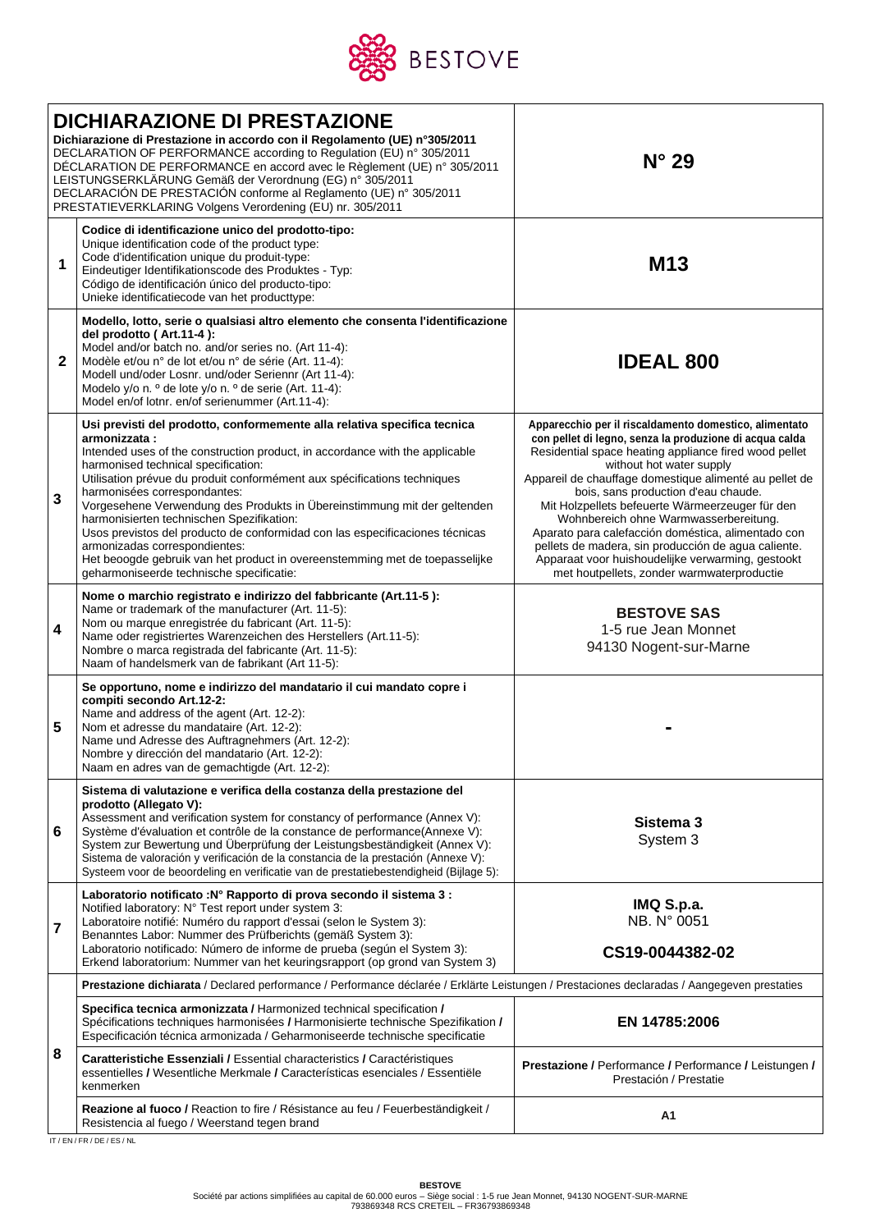

|   | <b>DICHIARAZIONE DI PRESTAZIONE</b><br>Dichiarazione di Prestazione in accordo con il Regolamento (UE) n°305/2011<br>DECLARATION OF PERFORMANCE according to Regulation (EU) n° 305/2011<br>DÉCLARATION DE PERFORMANCE en accord avec le Règlement (UE) n° 305/2011<br>LEISTUNGSERKLÄRUNG Gemäß der Verordnung (EG) n° 305/2011<br>DECLARACIÓN DE PRESTACIÓN conforme al Reglamento (UE) nº 305/2011<br>PRESTATIEVERKLARING Volgens Verordening (EU) nr. 305/2011                                                                                                                                                                                                                                | $N^{\circ}$ 29                                                                                                                                                                                                                                                                                                                                                                                                                                                                                                                                                                                                      |  |  |  |
|---|--------------------------------------------------------------------------------------------------------------------------------------------------------------------------------------------------------------------------------------------------------------------------------------------------------------------------------------------------------------------------------------------------------------------------------------------------------------------------------------------------------------------------------------------------------------------------------------------------------------------------------------------------------------------------------------------------|---------------------------------------------------------------------------------------------------------------------------------------------------------------------------------------------------------------------------------------------------------------------------------------------------------------------------------------------------------------------------------------------------------------------------------------------------------------------------------------------------------------------------------------------------------------------------------------------------------------------|--|--|--|
| 1 | Codice di identificazione unico del prodotto-tipo:<br>Unique identification code of the product type:<br>Code d'identification unique du produit-type:<br>Eindeutiger Identifikationscode des Produktes - Typ:<br>Código de identificación único del producto-tipo:<br>Unieke identificatiecode van het producttype:                                                                                                                                                                                                                                                                                                                                                                             | M <sub>13</sub>                                                                                                                                                                                                                                                                                                                                                                                                                                                                                                                                                                                                     |  |  |  |
| 2 | Modello, lotto, serie o qualsiasi altro elemento che consenta l'identificazione<br>del prodotto (Art.11-4):<br>Model and/or batch no. and/or series no. (Art 11-4):<br>Modèle et/ou n° de lot et/ou n° de série (Art. 11-4):<br>Modell und/oder Losnr. und/oder Seriennr (Art 11-4):<br>Modelo y/o n. º de lote y/o n. º de serie (Art. 11-4):<br>Model en/of lotnr. en/of serienummer (Art.11-4):                                                                                                                                                                                                                                                                                               | <b>IDEAL 800</b>                                                                                                                                                                                                                                                                                                                                                                                                                                                                                                                                                                                                    |  |  |  |
| 3 | Usi previsti del prodotto, conformemente alla relativa specifica tecnica<br>armonizzata:<br>Intended uses of the construction product, in accordance with the applicable<br>harmonised technical specification:<br>Utilisation prévue du produit conformément aux spécifications techniques<br>harmonisées correspondantes:<br>Vorgesehene Verwendung des Produkts in Übereinstimmung mit der geltenden<br>harmonisierten technischen Spezifikation:<br>Usos previstos del producto de conformidad con las especificaciones técnicas<br>armonizadas correspondientes:<br>Het beoogde gebruik van het product in overeenstemming met de toepasselijke<br>geharmoniseerde technische specificatie: | Apparecchio per il riscaldamento domestico, alimentato<br>con pellet di legno, senza la produzione di acqua calda<br>Residential space heating appliance fired wood pellet<br>without hot water supply<br>Appareil de chauffage domestique alimenté au pellet de<br>bois, sans production d'eau chaude.<br>Mit Holzpellets befeuerte Wärmeerzeuger für den<br>Wohnbereich ohne Warmwasserbereitung.<br>Aparato para calefacción doméstica, alimentado con<br>pellets de madera, sin producción de agua caliente.<br>Apparaat voor huishoudelijke verwarming, gestookt<br>met houtpellets, zonder warmwaterproductie |  |  |  |
| 4 | Nome o marchio registrato e indirizzo del fabbricante (Art.11-5):<br>Name or trademark of the manufacturer (Art. 11-5):<br>Nom ou marque enregistrée du fabricant (Art. 11-5):<br>Name oder registriertes Warenzeichen des Herstellers (Art.11-5):<br>Nombre o marca registrada del fabricante (Art. 11-5):<br>Naam of handelsmerk van de fabrikant (Art 11-5):                                                                                                                                                                                                                                                                                                                                  | <b>BESTOVE SAS</b><br>1-5 rue Jean Monnet<br>94130 Nogent-sur-Marne                                                                                                                                                                                                                                                                                                                                                                                                                                                                                                                                                 |  |  |  |
| 5 | Se opportuno, nome e indirizzo del mandatario il cui mandato copre i<br>compiti secondo Art.12-2:<br>Name and address of the agent (Art. 12-2):<br>Nom et adresse du mandataire (Art. 12-2):<br>Name und Adresse des Auftragnehmers (Art. 12-2):<br>Nombre y dirección del mandatario (Art. 12-2):<br>Naam en adres van de gemachtigde (Art. 12-2):                                                                                                                                                                                                                                                                                                                                              |                                                                                                                                                                                                                                                                                                                                                                                                                                                                                                                                                                                                                     |  |  |  |
| 6 | Sistema di valutazione e verifica della costanza della prestazione del<br>prodotto (Allegato V):<br>Assessment and verification system for constancy of performance (Annex V):<br>Système d'évaluation et contrôle de la constance de performance(Annexe V):<br>System zur Bewertung und Überprüfung der Leistungsbeständigkeit (Annex V):<br>Sistema de valoración y verificación de la constancia de la prestación (Annexe V):<br>Systeem voor de beoordeling en verificatie van de prestatiebestendigheid (Bijlage 5):                                                                                                                                                                        | Sistema 3<br>System 3                                                                                                                                                                                                                                                                                                                                                                                                                                                                                                                                                                                               |  |  |  |
| 7 | Laboratorio notificato : Nº Rapporto di prova secondo il sistema 3 :<br>Notified laboratory: N° Test report under system 3:<br>Laboratoire notifié: Numéro du rapport d'essai (selon le System 3):<br>Benanntes Labor: Nummer des Prüfberichts (gemäß System 3):<br>Laboratorio notificado: Número de informe de prueba (según el System 3):<br>Erkend laboratorium: Nummer van het keuringsrapport (op grond van System 3)                                                                                                                                                                                                                                                                      | IMQ S.p.a.<br>NB. N° 0051<br>CS19-0044382-02                                                                                                                                                                                                                                                                                                                                                                                                                                                                                                                                                                        |  |  |  |
|   | Prestazione dichiarata / Declared performance / Performance déclarée / Erklärte Leistungen / Prestaciones declaradas / Aangegeven prestaties                                                                                                                                                                                                                                                                                                                                                                                                                                                                                                                                                     |                                                                                                                                                                                                                                                                                                                                                                                                                                                                                                                                                                                                                     |  |  |  |
| 8 | Specifica tecnica armonizzata / Harmonized technical specification /<br>Spécifications techniques harmonisées / Harmonisierte technische Spezifikation /<br>Especificación técnica armonizada / Geharmoniseerde technische specificatie                                                                                                                                                                                                                                                                                                                                                                                                                                                          | EN 14785:2006                                                                                                                                                                                                                                                                                                                                                                                                                                                                                                                                                                                                       |  |  |  |
|   | Caratteristiche Essenziali / Essential characteristics / Caractéristiques<br>essentielles / Wesentliche Merkmale / Características esenciales / Essentiële<br>kenmerken                                                                                                                                                                                                                                                                                                                                                                                                                                                                                                                          | Prestazione / Performance / Performance / Leistungen /<br>Prestación / Prestatie                                                                                                                                                                                                                                                                                                                                                                                                                                                                                                                                    |  |  |  |
|   | Reazione al fuoco / Reaction to fire / Résistance au feu / Feuerbeständigkeit /<br>Resistencia al fuego / Weerstand tegen brand                                                                                                                                                                                                                                                                                                                                                                                                                                                                                                                                                                  | Α1                                                                                                                                                                                                                                                                                                                                                                                                                                                                                                                                                                                                                  |  |  |  |

IT / EN / FR / DE / ES / NL